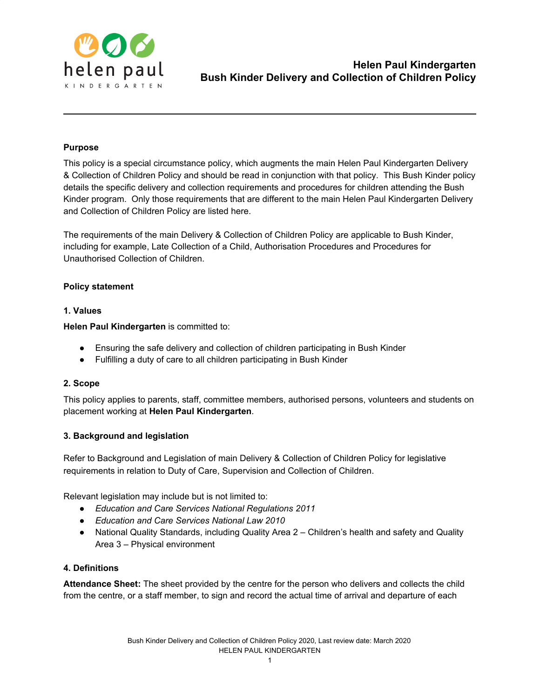

# **Purpose**

This policy is a special circumstance policy, which augments the main Helen Paul Kindergarten Delivery & Collection of Children Policy and should be read in conjunction with that policy. This Bush Kinder policy details the specific delivery and collection requirements and procedures for children attending the Bush Kinder program. Only those requirements that are different to the main Helen Paul Kindergarten Delivery and Collection of Children Policy are listed here.

The requirements of the main Delivery & Collection of Children Policy are applicable to Bush Kinder, including for example, Late Collection of a Child, Authorisation Procedures and Procedures for Unauthorised Collection of Children.

## **Policy statement**

## **1. Values**

**Helen Paul Kindergarten** is committed to:

- Ensuring the safe delivery and collection of children participating in Bush Kinder
- Fulfilling a duty of care to all children participating in Bush Kinder

## **2. Scope**

This policy applies to parents, staff, committee members, authorised persons, volunteers and students on placement working at **Helen Paul Kindergarten**.

## **3. Background and legislation**

Refer to Background and Legislation of main Delivery & Collection of Children Policy for legislative requirements in relation to Duty of Care, Supervision and Collection of Children.

Relevant legislation may include but is not limited to:

- *Education and Care Services National Regulations 2011*
- *Education and Care Services National Law 2010*
- National Quality Standards, including Quality Area 2 Children's health and safety and Quality Area 3 – Physical environment

# **4. Definitions**

**Attendance Sheet:** The sheet provided by the centre for the person who delivers and collects the child from the centre, or a staff member, to sign and record the actual time of arrival and departure of each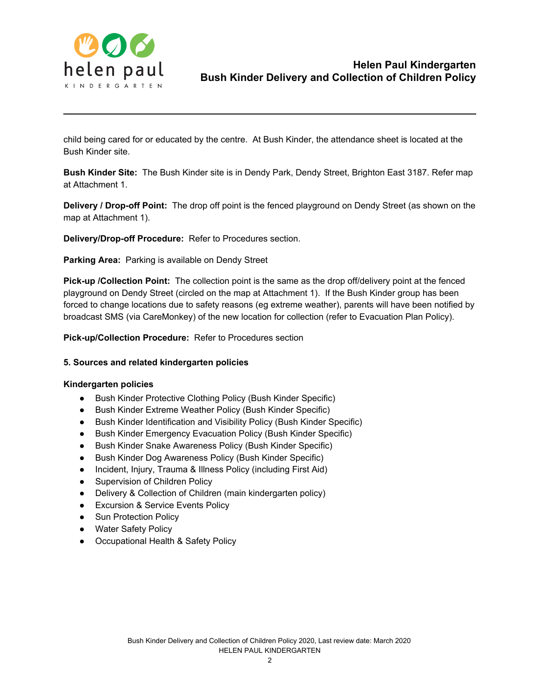

child being cared for or educated by the centre. At Bush Kinder, the attendance sheet is located at the Bush Kinder site.

**Bush Kinder Site:** The Bush Kinder site is in Dendy Park, Dendy Street, Brighton East 3187. Refer map at Attachment 1.

**Delivery / Drop-off Point:** The drop off point is the fenced playground on Dendy Street (as shown on the map at Attachment 1).

**Delivery/Drop-off Procedure:** Refer to Procedures section.

**Parking Area:** Parking is available on Dendy Street

**Pick-up /Collection Point:** The collection point is the same as the drop off/delivery point at the fenced playground on Dendy Street (circled on the map at Attachment 1). If the Bush Kinder group has been forced to change locations due to safety reasons (eg extreme weather), parents will have been notified by broadcast SMS (via CareMonkey) of the new location for collection (refer to Evacuation Plan Policy).

**Pick-up/Collection Procedure:** Refer to Procedures section

#### **5. Sources and related kindergarten policies**

#### **Kindergarten policies**

- Bush Kinder Protective Clothing Policy (Bush Kinder Specific)
- Bush Kinder Extreme Weather Policy (Bush Kinder Specific)
- Bush Kinder Identification and Visibility Policy (Bush Kinder Specific)
- Bush Kinder Emergency Evacuation Policy (Bush Kinder Specific)
- Bush Kinder Snake Awareness Policy (Bush Kinder Specific)
- Bush Kinder Dog Awareness Policy (Bush Kinder Specific)
- Incident, Injury, Trauma & Illness Policy (including First Aid)
- Supervision of Children Policy
- Delivery & Collection of Children (main kindergarten policy)
- Excursion & Service Events Policy
- Sun Protection Policy
- Water Safety Policy
- Occupational Health & Safety Policy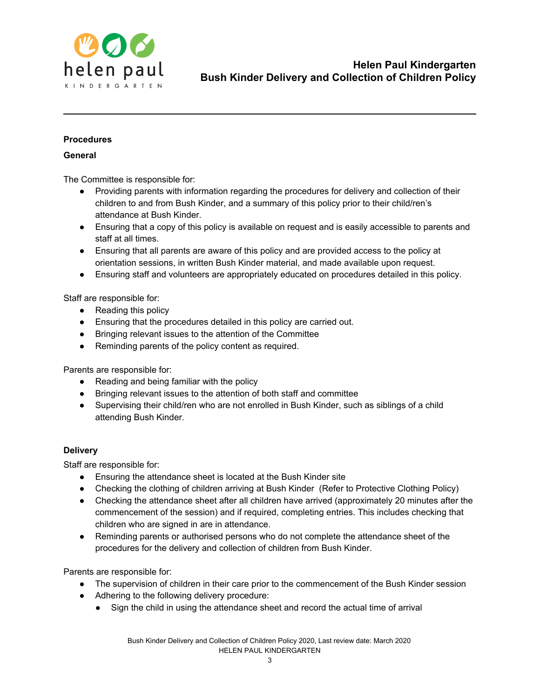

## **Procedures**

## **General**

The Committee is responsible for:

- Providing parents with information regarding the procedures for delivery and collection of their children to and from Bush Kinder, and a summary of this policy prior to their child/ren's attendance at Bush Kinder.
- Ensuring that a copy of this policy is available on request and is easily accessible to parents and staff at all times.
- Ensuring that all parents are aware of this policy and are provided access to the policy at orientation sessions, in written Bush Kinder material, and made available upon request.
- Ensuring staff and volunteers are appropriately educated on procedures detailed in this policy.

Staff are responsible for:

- Reading this policy
- Ensuring that the procedures detailed in this policy are carried out.
- Bringing relevant issues to the attention of the Committee
- Reminding parents of the policy content as required.

Parents are responsible for:

- Reading and being familiar with the policy
- Bringing relevant issues to the attention of both staff and committee
- Supervising their child/ren who are not enrolled in Bush Kinder, such as siblings of a child attending Bush Kinder.

#### **Delivery**

Staff are responsible for:

- Ensuring the attendance sheet is located at the Bush Kinder site
- Checking the clothing of children arriving at Bush Kinder (Refer to Protective Clothing Policy)
- Checking the attendance sheet after all children have arrived (approximately 20 minutes after the commencement of the session) and if required, completing entries. This includes checking that children who are signed in are in attendance.
- Reminding parents or authorised persons who do not complete the attendance sheet of the procedures for the delivery and collection of children from Bush Kinder.

Parents are responsible for:

- The supervision of children in their care prior to the commencement of the Bush Kinder session
- Adhering to the following delivery procedure:
	- Sign the child in using the attendance sheet and record the actual time of arrival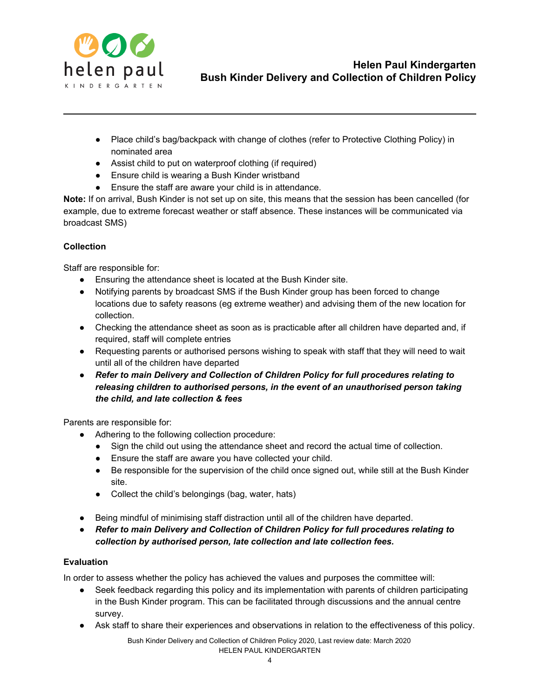

- Place child's bag/backpack with change of clothes (refer to Protective Clothing Policy) in nominated area
- Assist child to put on waterproof clothing (if required)
- Ensure child is wearing a Bush Kinder wristband
- Ensure the staff are aware your child is in attendance.

**Note:** If on arrival, Bush Kinder is not set up on site, this means that the session has been cancelled (for example, due to extreme forecast weather or staff absence. These instances will be communicated via broadcast SMS)

# **Collection**

Staff are responsible for:

- Ensuring the attendance sheet is located at the Bush Kinder site.
- Notifying parents by broadcast SMS if the Bush Kinder group has been forced to change locations due to safety reasons (eg extreme weather) and advising them of the new location for collection.
- Checking the attendance sheet as soon as is practicable after all children have departed and, if required, staff will complete entries
- Requesting parents or authorised persons wishing to speak with staff that they will need to wait until all of the children have departed
- *Refer to main Delivery and Collection of Children Policy for full procedures relating to releasing children to authorised persons, in the event of an unauthorised person taking the child, and late collection & fees*

Parents are responsible for:

- Adhering to the following collection procedure:
	- Sign the child out using the attendance sheet and record the actual time of collection.
	- Ensure the staff are aware you have collected your child.
	- Be responsible for the supervision of the child once signed out, while still at the Bush Kinder site.
	- Collect the child's belongings (bag, water, hats)
- Being mindful of minimising staff distraction until all of the children have departed.
- *Refer to main Delivery and Collection of Children Policy for full procedures relating to collection by authorised person, late collection and late collection fees.*

# **Evaluation**

In order to assess whether the policy has achieved the values and purposes the committee will:

- Seek feedback regarding this policy and its implementation with parents of children participating in the Bush Kinder program. This can be facilitated through discussions and the annual centre survey.
- Ask staff to share their experiences and observations in relation to the effectiveness of this policy.

Bush Kinder Delivery and Collection of Children Policy 2020, Last review date: March 2020 HELEN PAUL KINDERGARTEN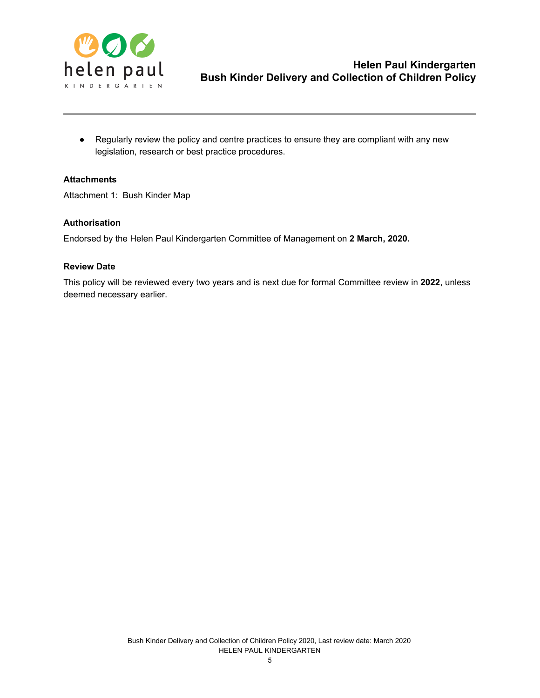

● Regularly review the policy and centre practices to ensure they are compliant with any new legislation, research or best practice procedures.

## **Attachments**

Attachment 1: Bush Kinder Map

## **Authorisation**

Endorsed by the Helen Paul Kindergarten Committee of Management on **2 March, 2020.**

#### **Review Date**

This policy will be reviewed every two years and is next due for formal Committee review in **2022**, unless deemed necessary earlier.